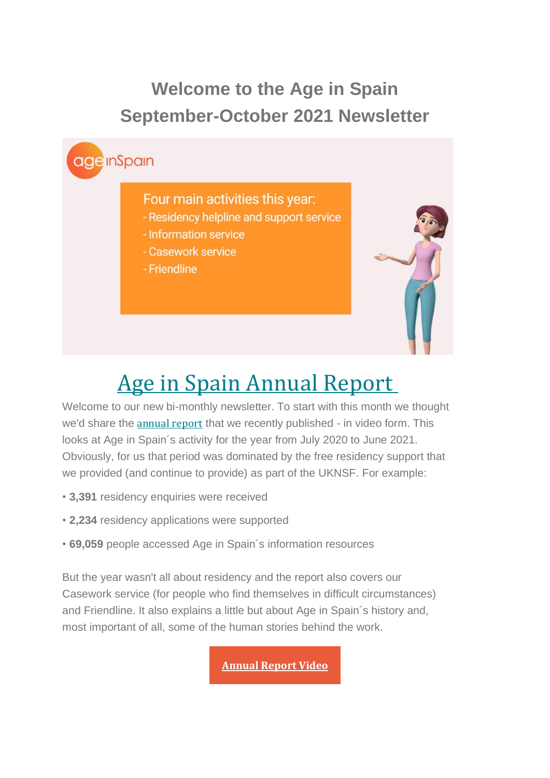## **Welcome to the Age in Spain September-October 2021 Newsletter**



# Age in Spain [Annual](https://emea01.safelinks.protection.outlook.com/?url=https%3A%2F%2Fageinspain.us4.list-manage.com%2Ftrack%2Fclick%3Fu%3Db49fe9a7bb6dd3237cef76f16%26id%3D9a1f50e3bf%26e%3D8f5b935247&data=04%7C01%7C%7Ce81799006cf04ee4d98d08d972a79065%7C84df9e7fe9f640afb435aaaaaaaaaaaa%7C1%7C0%7C637666886287256059%7CUnknown%7CTWFpbGZsb3d8eyJWIjoiMC4wLjAwMDAiLCJQIjoiV2luMzIiLCJBTiI6Ik1haWwiLCJXVCI6Mn0%3D%7C1000&sdata=AsCeWYe4Z71yabn0spcy09%2BWlw8eoXv6yUvyfbWZsXs%3D&reserved=0) Report

Welcome to our new bi-monthly newsletter. To start with this month we thought we'd share the [annual](https://emea01.safelinks.protection.outlook.com/?url=https%3A%2F%2Fageinspain.us4.list-manage.com%2Ftrack%2Fclick%3Fu%3Db49fe9a7bb6dd3237cef76f16%26id%3Da1bd4c7f35%26e%3D8f5b935247&data=04%7C01%7C%7Ce81799006cf04ee4d98d08d972a79065%7C84df9e7fe9f640afb435aaaaaaaaaaaa%7C1%7C0%7C637666886287266009%7CUnknown%7CTWFpbGZsb3d8eyJWIjoiMC4wLjAwMDAiLCJQIjoiV2luMzIiLCJBTiI6Ik1haWwiLCJXVCI6Mn0%3D%7C1000&sdata=WrNbEADV9oY8rmOJ%2F316E54cErgxS%2FWV03U%2FfCgtGBk%3D&reserved=0) report that we recently published - in video form. This looks at Age in Spain´s activity for the year from July 2020 to June 2021. Obviously, for us that period was dominated by the free residency support that we provided (and continue to provide) as part of the UKNSF. For example:

- **3,391** residency enquiries were received
- **2,234** residency applications were supported
- **69,059** people accessed Age in Spain´s information resources

But the year wasn't all about residency and the report also covers our Casework service (for people who find themselves in difficult circumstances) and Friendline. It also explains a little but about Age in Spain´s history and, most important of all, some of the human stories behind the work.

**[Annual](https://emea01.safelinks.protection.outlook.com/?url=https%3A%2F%2Fageinspain.us4.list-manage.com%2Ftrack%2Fclick%3Fu%3Db49fe9a7bb6dd3237cef76f16%26id%3D5e408d316f%26e%3D8f5b935247&data=04%7C01%7C%7Ce81799006cf04ee4d98d08d972a79065%7C84df9e7fe9f640afb435aaaaaaaaaaaa%7C1%7C0%7C637666886287266009%7CUnknown%7CTWFpbGZsb3d8eyJWIjoiMC4wLjAwMDAiLCJQIjoiV2luMzIiLCJBTiI6Ik1haWwiLCJXVCI6Mn0%3D%7C1000&sdata=8hLJaJyAr18QYFqtW0GxuIKVWVfHF1PKFxC8xTUHXx0%3D&reserved=0) Report Video**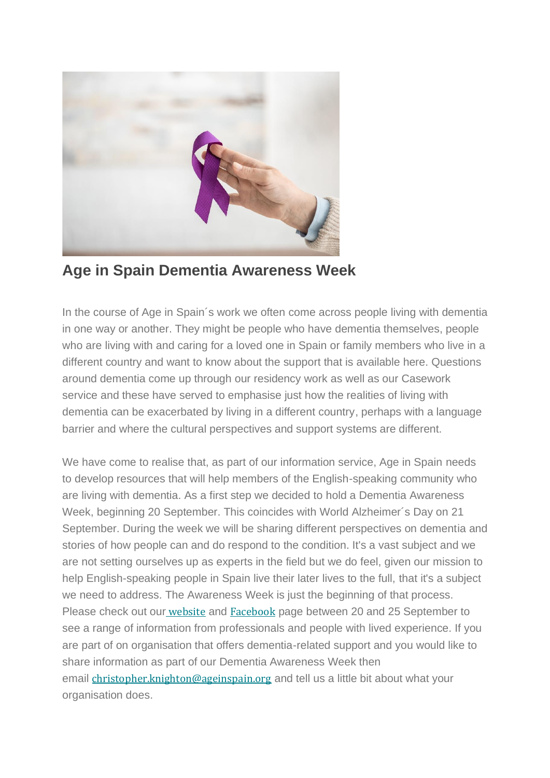

**Age in Spain Dementia Awareness Week**

In the course of Age in Spain´s work we often come across people living with dementia in one way or another. They might be people who have dementia themselves, people who are living with and caring for a loved one in Spain or family members who live in a different country and want to know about the support that is available here. Questions around dementia come up through our residency work as well as our Casework service and these have served to emphasise just how the realities of living with dementia can be exacerbated by living in a different country, perhaps with a language barrier and where the cultural perspectives and support systems are different.

We have come to realise that, as part of our information service. Age in Spain needs to develop resources that will help members of the English-speaking community who are living with dementia. As a first step we decided to hold a Dementia Awareness Week, beginning 20 September. This coincides with World Alzheimer´s Day on 21 September. During the week we will be sharing different perspectives on dementia and stories of how people can and do respond to the condition. It's a vast subject and we are not setting ourselves up as experts in the field but we do feel, given our mission to help English-speaking people in Spain live their later lives to the full, that it's a subject we need to address. The Awareness Week is just the beginning of that process. Please check out our [website](https://emea01.safelinks.protection.outlook.com/?url=https%3A%2F%2Fageinspain.us4.list-manage.com%2Ftrack%2Fclick%3Fu%3Db49fe9a7bb6dd3237cef76f16%26id%3Dcb160cd9a5%26e%3D8f5b935247&data=04%7C01%7C%7Ce81799006cf04ee4d98d08d972a79065%7C84df9e7fe9f640afb435aaaaaaaaaaaa%7C1%7C0%7C637666886287275965%7CUnknown%7CTWFpbGZsb3d8eyJWIjoiMC4wLjAwMDAiLCJQIjoiV2luMzIiLCJBTiI6Ik1haWwiLCJXVCI6Mn0%3D%7C1000&sdata=Kdoe%2BKRB5KXkAx7f8XUAg%2F5QIE1N4CsGwY5LeB%2FxcAg%3D&reserved=0) and [Facebook](https://emea01.safelinks.protection.outlook.com/?url=https%3A%2F%2Fageinspain.us4.list-manage.com%2Ftrack%2Fclick%3Fu%3Db49fe9a7bb6dd3237cef76f16%26id%3Db6900e777a%26e%3D8f5b935247&data=04%7C01%7C%7Ce81799006cf04ee4d98d08d972a79065%7C84df9e7fe9f640afb435aaaaaaaaaaaa%7C1%7C0%7C637666886287275965%7CUnknown%7CTWFpbGZsb3d8eyJWIjoiMC4wLjAwMDAiLCJQIjoiV2luMzIiLCJBTiI6Ik1haWwiLCJXVCI6Mn0%3D%7C1000&sdata=K78Mq2a8gRuXg8bYVpbvUcH09HVyqJ6AuicsN%2FRmdCc%3D&reserved=0) page between 20 and 25 September to see a range of information from professionals and people with lived experience. If you are part of on organisation that offers dementia-related support and you would like to share information as part of our Dementia Awareness Week then email [christopher.knighton@ageinspain.org](mailto:christopher.knighton@ageinspain.org) and tell us a little bit about what your organisation does.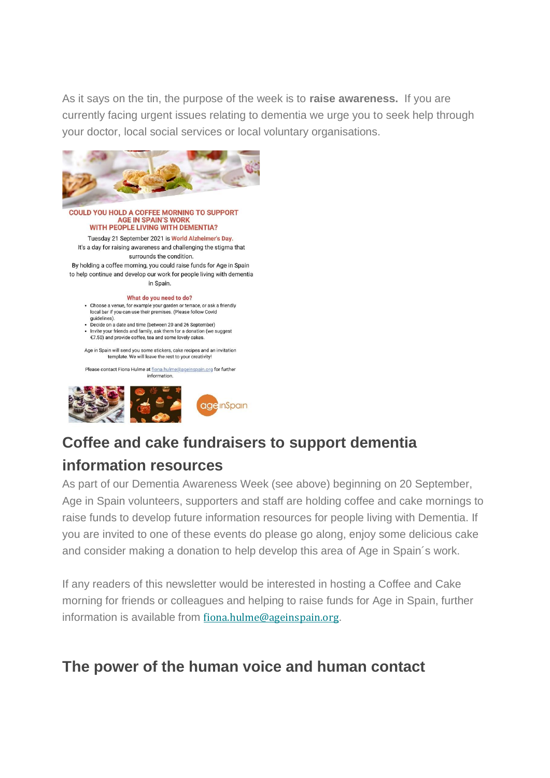As it says on the tin, the purpose of the week is to **raise awareness.** If you are currently facing urgent issues relating to dementia we urge you to seek help through your doctor, local social services or local voluntary organisations.



#### **COULD YOU HOLD A COFFEE MORNING TO SUPPORT AGE IN SPAIN'S WORK** WITH PEOPLE LIVING WITH DEMENTIA? Tuesday 21 September 2021 is World Alzheimer's Day.

It's a day for raising awareness and challenging the stigma that surrounds the condition. By holding a coffee morning, you could raise funds for Age in Spain to help continue and develop our work for people living with dementia in Spain.

#### What do you need to do?

- Choose a venue, for example your garden or terrace, or ask a friendly<br>local bar if you can use their premises. (Please follow Covid quidelines)
- Decide on a date and time (between 20 and 26 September) . Invite your friends and family, ask them for a donation (we suggest
- €7.50) and provide coffee, tea and some lovely cakes

Age in Spain will send you some stickers, cake recipes and an invitation template. We will leave the rest to your creativity!

Please contact Fiona Hulme at fiona.hulme@ageinspain.org for further information



## **Coffee and cake fundraisers to support dementia**

#### **information resources**

As part of our Dementia Awareness Week (see above) beginning on 20 September, Age in Spain volunteers, supporters and staff are holding coffee and cake mornings to raise funds to develop future information resources for people living with Dementia. If you are invited to one of these events do please go along, enjoy some delicious cake and consider making a donation to help develop this area of Age in Spain´s work.

If any readers of this newsletter would be interested in hosting a Coffee and Cake morning for friends or colleagues and helping to raise funds for Age in Spain, further information is available from [fiona.hulme@ageinspain.org](mailto:fiona.hulme@ageinspain.org).

#### **The power of the human voice and human contact**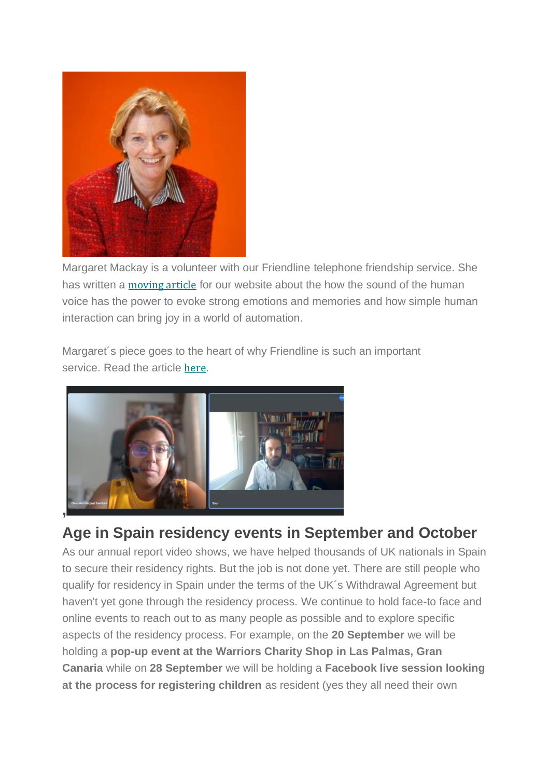

Margaret Mackay is a volunteer with our Friendline telephone friendship service. She has written a [moving](https://emea01.safelinks.protection.outlook.com/?url=https%3A%2F%2Fageinspain.us4.list-manage.com%2Ftrack%2Fclick%3Fu%3Db49fe9a7bb6dd3237cef76f16%26id%3D79ad1d25c2%26e%3D8f5b935247&data=04%7C01%7C%7Ce81799006cf04ee4d98d08d972a79065%7C84df9e7fe9f640afb435aaaaaaaaaaaa%7C1%7C0%7C637666886287285925%7CUnknown%7CTWFpbGZsb3d8eyJWIjoiMC4wLjAwMDAiLCJQIjoiV2luMzIiLCJBTiI6Ik1haWwiLCJXVCI6Mn0%3D%7C1000&sdata=OXw5Ecgf9d05WPZ6%2Buy6C0yRuoOBQwNMAPb7gCzjH%2Bc%3D&reserved=0) article for our website about the how the sound of the human voice has the power to evoke strong emotions and memories and how simple human interaction can bring joy in a world of automation.

Margaret´s piece goes to the heart of why Friendline is such an important service. Read the article [here](https://emea01.safelinks.protection.outlook.com/?url=https%3A%2F%2Fageinspain.us4.list-manage.com%2Ftrack%2Fclick%3Fu%3Db49fe9a7bb6dd3237cef76f16%26id%3D8e19f4cd54%26e%3D8f5b935247&data=04%7C01%7C%7Ce81799006cf04ee4d98d08d972a79065%7C84df9e7fe9f640afb435aaaaaaaaaaaa%7C1%7C0%7C637666886287285925%7CUnknown%7CTWFpbGZsb3d8eyJWIjoiMC4wLjAwMDAiLCJQIjoiV2luMzIiLCJBTiI6Ik1haWwiLCJXVCI6Mn0%3D%7C1000&sdata=khdfHnTL85cA66%2F1S7NBpEmFn3YTmgHX9EiT35OKsjs%3D&reserved=0).



## **Age in Spain residency events in September and October**

As our annual report video shows, we have helped thousands of UK nationals in Spain to secure their residency rights. But the job is not done yet. There are still people who qualify for residency in Spain under the terms of the UK´s Withdrawal Agreement but haven't yet gone through the residency process. We continue to hold face-to face and online events to reach out to as many people as possible and to explore specific aspects of the residency process. For example, on the **20 September** we will be holding a **pop-up event at the Warriors Charity Shop in Las Palmas, Gran Canaria** while on **28 September** we will be holding a **Facebook live session looking at the process for registering children** as resident (yes they all need their own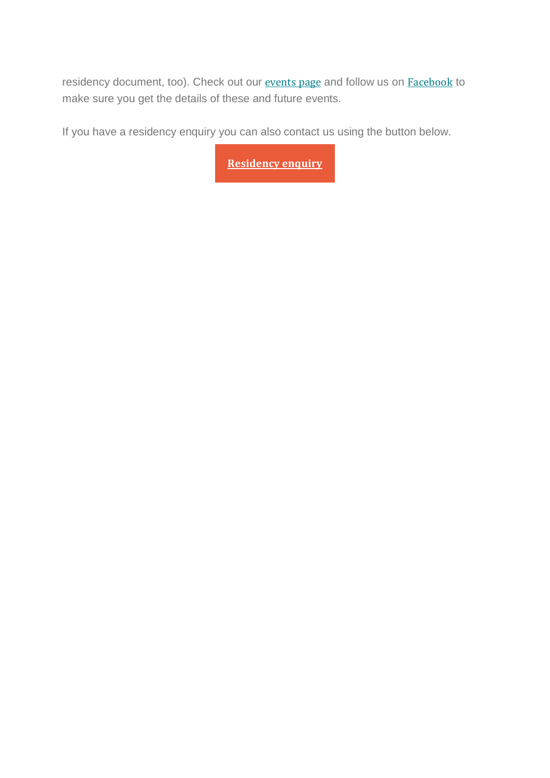residency document, too). Check out our [events](https://emea01.safelinks.protection.outlook.com/?url=https%3A%2F%2Fageinspain.us4.list-manage.com%2Ftrack%2Fclick%3Fu%3Db49fe9a7bb6dd3237cef76f16%26id%3D3ec3f2eec2%26e%3D8f5b935247&data=04%7C01%7C%7Ce81799006cf04ee4d98d08d972a79065%7C84df9e7fe9f640afb435aaaaaaaaaaaa%7C1%7C0%7C637666886287295876%7CUnknown%7CTWFpbGZsb3d8eyJWIjoiMC4wLjAwMDAiLCJQIjoiV2luMzIiLCJBTiI6Ik1haWwiLCJXVCI6Mn0%3D%7C1000&sdata=QLz4gUka%2B1tOuHVKo%2FruOuJCmkBqoDxFj9wpa7r7c9Y%3D&reserved=0) page and follow us on [Facebook](https://emea01.safelinks.protection.outlook.com/?url=https%3A%2F%2Fageinspain.us4.list-manage.com%2Ftrack%2Fclick%3Fu%3Db49fe9a7bb6dd3237cef76f16%26id%3D03935ee6df%26e%3D8f5b935247&data=04%7C01%7C%7Ce81799006cf04ee4d98d08d972a79065%7C84df9e7fe9f640afb435aaaaaaaaaaaa%7C1%7C0%7C637666886287295876%7CUnknown%7CTWFpbGZsb3d8eyJWIjoiMC4wLjAwMDAiLCJQIjoiV2luMzIiLCJBTiI6Ik1haWwiLCJXVCI6Mn0%3D%7C1000&sdata=w14NmAInnESuEFRhalvMekKihiiKgeWQW%2BD9zYFU5cg%3D&reserved=0) to make sure you get the details of these and future events.

If you have a residency enquiry you can also contact us using the button below.

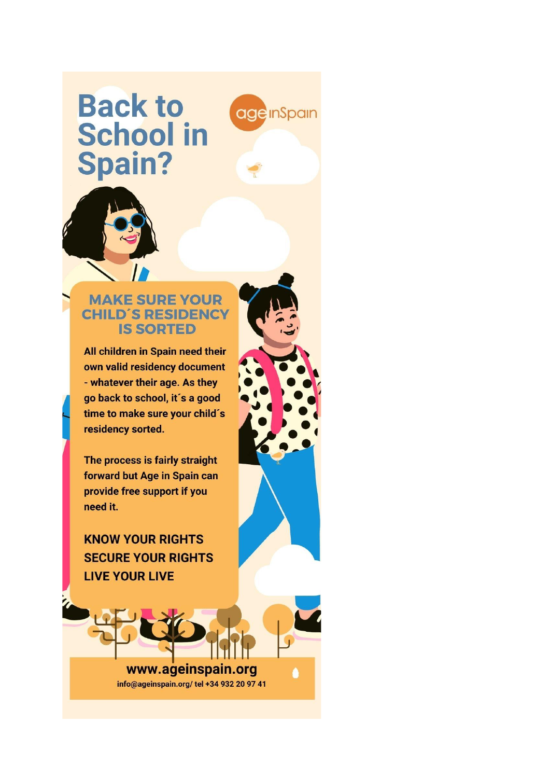# **Back to School in Spain?**

**age** InSpain



#### **MAKE SURE YOUR CHILD'S RESIDENCY IS SORTED**

All children in Spain need their own valid residency document - whatever their age. As they go back to school, it's a good time to make sure your child's residency sorted.

The process is fairly straight forward but Age in Spain can provide free support if you need it.

**KNOW YOUR RIGHTS SECURE YOUR RIGHTS LIVE YOUR LIVE** 

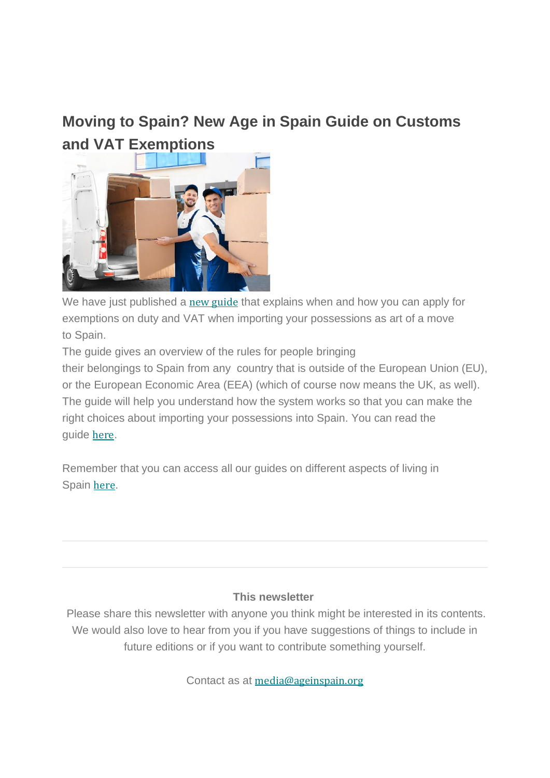## **Moving to Spain? New Age in Spain Guide on Customs [and VAT Exemptions](https://emea01.safelinks.protection.outlook.com/?url=https%3A%2F%2Fageinspain.us4.list-manage.com%2Ftrack%2Fclick%3Fu%3Db49fe9a7bb6dd3237cef76f16%26id%3D0beeba6b68%26e%3D8f5b935247&data=04%7C01%7C%7Ce81799006cf04ee4d98d08d972a79065%7C84df9e7fe9f640afb435aaaaaaaaaaaa%7C1%7C0%7C637666886287315793%7CUnknown%7CTWFpbGZsb3d8eyJWIjoiMC4wLjAwMDAiLCJQIjoiV2luMzIiLCJBTiI6Ik1haWwiLCJXVCI6Mn0%3D%7C1000&sdata=XhkPfy024fs9n9Y94keNfwfi3nzc9VrMuBNUfZ94mfs%3D&reserved=0)**



We have just published a new [guide](https://emea01.safelinks.protection.outlook.com/?url=https%3A%2F%2Fageinspain.us4.list-manage.com%2Ftrack%2Fclick%3Fu%3Db49fe9a7bb6dd3237cef76f16%26id%3Dd5ef7aebee%26e%3D8f5b935247&data=04%7C01%7C%7Ce81799006cf04ee4d98d08d972a79065%7C84df9e7fe9f640afb435aaaaaaaaaaaa%7C1%7C0%7C637666886287315793%7CUnknown%7CTWFpbGZsb3d8eyJWIjoiMC4wLjAwMDAiLCJQIjoiV2luMzIiLCJBTiI6Ik1haWwiLCJXVCI6Mn0%3D%7C1000&sdata=l3GP4ZC7IVONyEDOLd13UZBIY7%2Bn7FQx5YTo7O87YQs%3D&reserved=0) that explains when and how you can apply for exemptions on duty and VAT when importing your possessions as art of a move to Spain.

The guide gives an overview of the rules for people bringing their belongings to Spain from any country that is outside of the European Union (EU), or the European Economic Area (EEA) (which of course now means the UK, as well). The guide will help you understand how the system works so that you can make the right choices about importing your possessions into Spain. You can read the guide [here](https://emea01.safelinks.protection.outlook.com/?url=https%3A%2F%2Fageinspain.us4.list-manage.com%2Ftrack%2Fclick%3Fu%3Db49fe9a7bb6dd3237cef76f16%26id%3Dc90920d302%26e%3D8f5b935247&data=04%7C01%7C%7Ce81799006cf04ee4d98d08d972a79065%7C84df9e7fe9f640afb435aaaaaaaaaaaa%7C1%7C0%7C637666886287325751%7CUnknown%7CTWFpbGZsb3d8eyJWIjoiMC4wLjAwMDAiLCJQIjoiV2luMzIiLCJBTiI6Ik1haWwiLCJXVCI6Mn0%3D%7C1000&sdata=wx2z%2FD2or3Ode3C8SklSv%2By5WFWaMCqMBjX8mC71tSw%3D&reserved=0).

Remember that you can access all our guides on different aspects of living in Spain [here](https://emea01.safelinks.protection.outlook.com/?url=https%3A%2F%2Fageinspain.us4.list-manage.com%2Ftrack%2Fclick%3Fu%3Db49fe9a7bb6dd3237cef76f16%26id%3D7dcc37e465%26e%3D8f5b935247&data=04%7C01%7C%7Ce81799006cf04ee4d98d08d972a79065%7C84df9e7fe9f640afb435aaaaaaaaaaaa%7C1%7C0%7C637666886287325751%7CUnknown%7CTWFpbGZsb3d8eyJWIjoiMC4wLjAwMDAiLCJQIjoiV2luMzIiLCJBTiI6Ik1haWwiLCJXVCI6Mn0%3D%7C1000&sdata=ITiAwWcKpc02AtTVBKSshR3H6SlGd1bZViUCr3nJgvc%3D&reserved=0).

#### **This newsletter**

Please share this newsletter with anyone you think might be interested in its contents. We would also love to hear from you if you have suggestions of things to include in future editions or if you want to contribute something yourself.

Contact as at [media@ageinspain.org](mailto:media@ageinspain.org?subject=Newsletter%20Content%20Suggestions&body=Please%20pass%20on%20the%20following%20suggestion%20for%20the%20Age%20in%20Spain%20newsletter%3A)